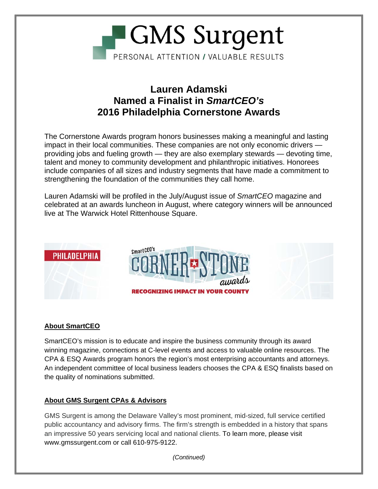

## **Lauren Adamski Named a Finalist in** *SmartCEO's*  **2016 Philadelphia Cornerstone Awards**

The Cornerstone Awards program honors businesses making a meaningful and lasting impact in their local communities. These companies are not only economic drivers providing jobs and fueling growth — they are also exemplary stewards — devoting time, talent and money to community development and philanthropic initiatives. Honorees include companies of all sizes and industry segments that have made a commitment to strengthening the foundation of the communities they call home.

Lauren Adamski will be profiled in the July/August issue of *SmartCEO* magazine and celebrated at an awards luncheon in August, where category winners will be announced live at The Warwick Hotel Rittenhouse Square.



### **About SmartCEO**

SmartCEO's mission is to educate and inspire the business community through its award winning magazine, connections at C-level events and access to valuable online resources. The CPA & ESQ Awards program honors the region's most enterprising accountants and attorneys. An independent committee of local business leaders chooses the CPA & ESQ finalists based on the quality of nominations submitted.

### **About GMS Surgent CPAs & Advisors**

GMS Surgent is among the Delaware Valley's most prominent, mid-sized, full service certified public accountancy and advisory firms. The firm's strength is embedded in a history that spans an impressive 50 years servicing local and national clients. To learn more, please visit www.gmssurgent.com or call 610-975-9122.

*(Continued)*